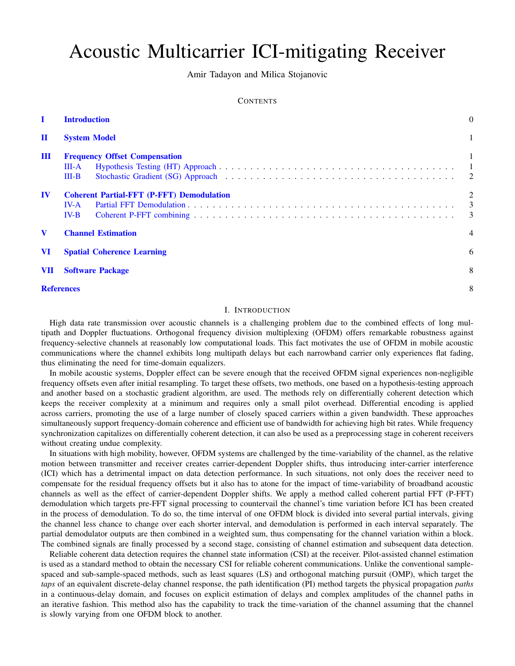# Acoustic Multicarrier ICI-mitigating Receiver

Amir Tadayon and Milica Stojanovic

# **CONTENTS**

| L<br><b>Introduction</b> |                                                             |  | $\theta$                 |
|--------------------------|-------------------------------------------------------------|--|--------------------------|
| $\mathbf I$              | <b>System Model</b><br><b>Frequency Offset Compensation</b> |  |                          |
| $\mathbf{m}$             |                                                             |  |                          |
|                          | III-A<br>$III-B$                                            |  | $\blacksquare$           |
| $\bf{IV}$                | <b>Coherent Partial-FFT (P-FFT) Demodulation</b>            |  | 2                        |
|                          | $IV-A$                                                      |  | $\overline{\phantom{a}}$ |
|                          | $IV-B$                                                      |  | 3                        |
| $\mathbf v$              | <b>Channel Estimation</b>                                   |  | $\overline{4}$           |
| <b>VI</b>                | <b>Spatial Coherence Learning</b>                           |  | 6                        |
| <b>VII</b>               | <b>Software Package</b>                                     |  | 8                        |
|                          | <b>References</b>                                           |  | 8                        |

#### I. INTRODUCTION

<span id="page-0-0"></span>High data rate transmission over acoustic channels is a challenging problem due to the combined effects of long multipath and Doppler fluctuations. Orthogonal frequency division multiplexing (OFDM) offers remarkable robustness against frequency-selective channels at reasonably low computational loads. This fact motivates the use of OFDM in mobile acoustic communications where the channel exhibits long multipath delays but each narrowband carrier only experiences flat fading, thus eliminating the need for time-domain equalizers.

In mobile acoustic systems, Doppler effect can be severe enough that the received OFDM signal experiences non-negligible frequency offsets even after initial resampling. To target these offsets, two methods, one based on a hypothesis-testing approach and another based on a stochastic gradient algorithm, are used. The methods rely on differentially coherent detection which keeps the receiver complexity at a minimum and requires only a small pilot overhead. Differential encoding is applied across carriers, promoting the use of a large number of closely spaced carriers within a given bandwidth. These approaches simultaneously support frequency-domain coherence and efficient use of bandwidth for achieving high bit rates. While frequency synchronization capitalizes on differentially coherent detection, it can also be used as a preprocessing stage in coherent receivers without creating undue complexity.

In situations with high mobility, however, OFDM systems are challenged by the time-variability of the channel, as the relative motion between transmitter and receiver creates carrier-dependent Doppler shifts, thus introducing inter-carrier interference (ICI) which has a detrimental impact on data detection performance. In such situations, not only does the receiver need to compensate for the residual frequency offsets but it also has to atone for the impact of time-variability of broadband acoustic channels as well as the effect of carrier-dependent Doppler shifts. We apply a method called coherent partial FFT (P-FFT) demodulation which targets pre-FFT signal processing to countervail the channel's time variation before ICI has been created in the process of demodulation. To do so, the time interval of one OFDM block is divided into several partial intervals, giving the channel less chance to change over each shorter interval, and demodulation is performed in each interval separately. The partial demodulator outputs are then combined in a weighted sum, thus compensating for the channel variation within a block. The combined signals are finally processed by a second stage, consisting of channel estimation and subsequent data detection.

Reliable coherent data detection requires the channel state information (CSI) at the receiver. Pilot-assisted channel estimation is used as a standard method to obtain the necessary CSI for reliable coherent communications. Unlike the conventional samplespaced and sub-sample-spaced methods, such as least squares (LS) and orthogonal matching pursuit (OMP), which target the *taps* of an equivalent discrete-delay channel response, the path identification (PI) method targets the physical propagation *paths* in a continuous-delay domain, and focuses on explicit estimation of delays and complex amplitudes of the channel paths in an iterative fashion. This method also has the capability to track the time-variation of the channel assuming that the channel is slowly varying from one OFDM block to another.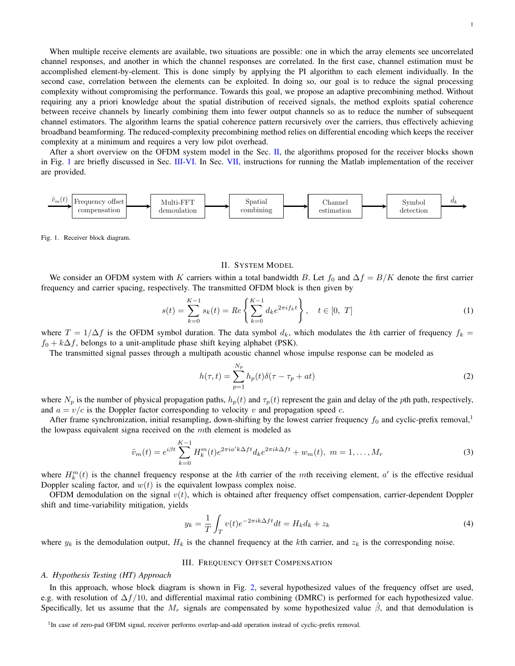1

When multiple receive elements are available, two situations are possible: one in which the array elements see uncorrelated channel responses, and another in which the channel responses are correlated. In the first case, channel estimation must be accomplished element-by-element. This is done simply by applying the PI algorithm to each element individually. In the second case, correlation between the elements can be exploited. In doing so, our goal is to reduce the signal processing complexity without compromising the performance. Towards this goal, we propose an adaptive precombining method. Without requiring any a priori knowledge about the spatial distribution of received signals, the method exploits spatial coherence between receive channels by linearly combining them into fewer output channels so as to reduce the number of subsequent channel estimators. The algorithm learns the spatial coherence pattern recursively over the carriers, thus effectively achieving broadband beamforming. The reduced-complexity precombining method relies on differential encoding which keeps the receiver complexity at a minimum and requires a very low pilot overhead.

After a short overview on the OFDM system model in the Sec.  $II$ , the algorithms proposed for the receiver blocks shown in Fig. [1](#page-1-3) are briefly discussed in Sec. [III](#page-1-1)[-VI.](#page-6-0) In Sec. [VII,](#page-8-0) instructions for running the Matlab implementation of the receiver are provided.



<span id="page-1-3"></span>Fig. 1. Receiver block diagram.

#### II. SYSTEM MODEL

<span id="page-1-0"></span>We consider an OFDM system with K carriers within a total bandwidth B. Let  $f_0$  and  $\Delta f = B/K$  denote the first carrier frequency and carrier spacing, respectively. The transmitted OFDM block is then given by

$$
s(t) = \sum_{k=0}^{K-1} s_k(t) = Re\left\{\sum_{k=0}^{K-1} d_k e^{2\pi i f_k t}\right\}, \quad t \in [0, T]
$$
 (1)

where  $T = 1/\Delta f$  is the OFDM symbol duration. The data symbol  $d_k$ , which modulates the kth carrier of frequency  $f_k =$  $f_0 + k\Delta f$ , belongs to a unit-amplitude phase shift keying alphabet (PSK).

The transmitted signal passes through a multipath acoustic channel whose impulse response can be modeled as

$$
h(\tau, t) = \sum_{p=1}^{N_p} h_p(t)\delta(\tau - \tau_p + at)
$$
\n(2)

where  $N_p$  is the number of physical propagation paths,  $h_p(t)$  and  $\tau_p(t)$  represent the gain and delay of the pth path, respectively, and  $a = v/c$  is the Doppler factor corresponding to velocity v and propagation speed c.

After frame synchronization, initial resampling, down-shifting by the lowest carrier frequency  $f_0$  and cyclic-prefix removal, the lowpass equivalent signa received on the mth element is modeled as

$$
\tilde{v}_m(t) = e^{i\beta t} \sum_{k=0}^{K-1} H_k^m(t) e^{2\pi i a' k \Delta f t} d_k e^{2\pi i k \Delta f t} + w_m(t), \ m = 1, \dots, M_r
$$
\n(3)

where  $H_k^m(t)$  is the channel frequency response at the kth carrier of the mth receiving element,  $a'$  is the effective residual Doppler scaling factor, and  $w(t)$  is the equivalent lowpass complex noise.

OFDM demodulation on the signal  $v(t)$ , which is obtained after frequency offset compensation, carrier-dependent Doppler shift and time-variability mitigation, yields

$$
y_k = \frac{1}{T} \int_T v(t)e^{-2\pi ik\Delta ft}dt = H_k d_k + z_k
$$
\n(4)

where  $y_k$  is the demodulation output,  $H_k$  is the channel frequency at the kth carrier, and  $z_k$  is the corresponding noise.

# III. FREQUENCY OFFSET COMPENSATION

#### <span id="page-1-2"></span><span id="page-1-1"></span>*A. Hypothesis Testing (HT) Approach*

In this approach, whose block diagram is shown in Fig. [2,](#page-2-2) several hypothesized values of the frequency offset are used, e.g. with resolution of  $\Delta f/10$ , and differential maximal ratio combining (DMRC) is performed for each hypothesized value. Specifically, let us assume that the  $M_r$  signals are compensated by some hypothesized value  $\hat{\beta}$ , and that demodulation is

<sup>1</sup>In case of zero-pad OFDM signal, receiver performs overlap-and-add operation instead of cyclic-prefix removal.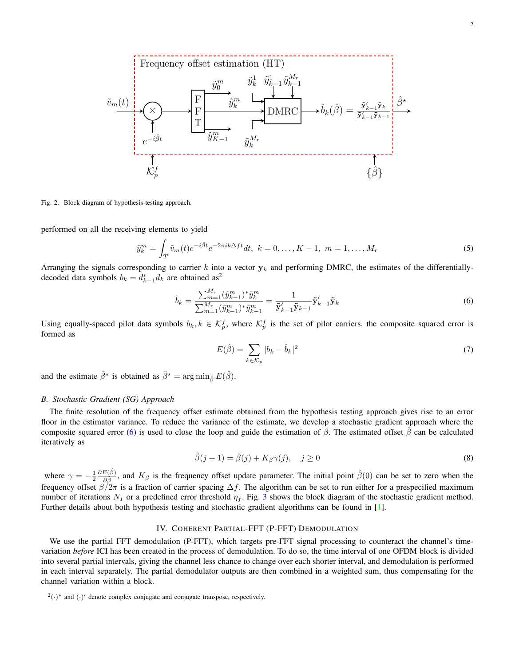

<span id="page-2-2"></span>Fig. 2. Block diagram of hypothesis-testing approach.

performed on all the receiving elements to yield

$$
\tilde{y}_k^m = \int_T \tilde{v}_m(t) e^{-i\hat{\beta}t} e^{-2\pi ik\Delta ft} dt, \ k = 0, \dots, K - 1, \ m = 1, \dots, M_r
$$
\n(5)

Arranging the signals corresponding to carrier k into a vector  $y_k$  and performing DMRC, the estimates of the differentiallydecoded data symbols  $b_k = d_{k-1}^* d_k$  are obtained as<sup>2</sup>

$$
\hat{b}_k = \frac{\sum_{m=1}^{M_r} (\tilde{y}_{k-1}^m)^* \tilde{y}_k^m}{\sum_{m=1}^{M_r} (\tilde{y}_{k-1}^m)^* \tilde{y}_{k-1}^m} = \frac{1}{\tilde{\mathbf{y}}'_{k-1} \tilde{\mathbf{y}}_{k-1}} \tilde{\mathbf{y}}'_{k-1} \tilde{\mathbf{y}}_k
$$
\n(6)

Using equally-spaced pilot data symbols  $b_k, k \in \mathcal{K}_p^f$ , where  $\mathcal{K}_p^f$  is the set of pilot carriers, the composite squared error is formed as

<span id="page-2-3"></span>
$$
E(\hat{\beta}) = \sum_{k \in \mathcal{K}_p} |b_k - \hat{b}_k|^2 \tag{7}
$$

and the estimate  $\hat{\beta}^*$  is obtained as  $\hat{\beta}^* = \arg \min_{\hat{\beta}} E(\hat{\beta})$ .

### <span id="page-2-0"></span>*B. Stochastic Gradient (SG) Approach*

The finite resolution of the frequency offset estimate obtained from the hypothesis testing approach gives rise to an error floor in the estimator variance. To reduce the variance of the estimate, we develop a stochastic gradient approach where the composite squared error [\(6\)](#page-2-3) is used to close the loop and guide the estimation of  $\beta$ . The estimated offset  $\hat{\beta}$  can be calculated iteratively as

$$
\hat{\beta}(j+1) = \hat{\beta}(j) + K_{\beta}\gamma(j), \quad j \ge 0
$$
\n(8)

where  $\gamma = -\frac{1}{2}$  $\partial E(\hat{\beta})$  $\frac{E(\beta)}{\partial \hat{\beta}}$ , and  $K_{\beta}$  is the frequency offset update parameter. The initial point  $\hat{\beta}(0)$  can be set to zero when the frequency offset  $\beta/2\pi$  is a fraction of carrier spacing  $\Delta f$ . The algorithm can be set to run either for a prespecified maximum number of iterations  $N_I$  or a predefined error threshold  $\eta_f$ . Fig. [3](#page-3-2) shows the block diagram of the stochastic gradient method. Further details about both hypothesis testing and stochastic gradient algorithms can be found in [\[1\]](#page-8-2).

# IV. COHERENT PARTIAL-FFT (P-FFT) DEMODULATION

<span id="page-2-1"></span>We use the partial FFT demodulation (P-FFT), which targets pre-FFT signal processing to counteract the channel's timevariation *before* ICI has been created in the process of demodulation. To do so, the time interval of one OFDM block is divided into several partial intervals, giving the channel less chance to change over each shorter interval, and demodulation is performed in each interval separately. The partial demodulator outputs are then combined in a weighted sum, thus compensating for the channel variation within a block.

 $^{2}(\cdot)^{*}$  and  $(\cdot)'$  denote complex conjugate and conjugate transpose, respectively.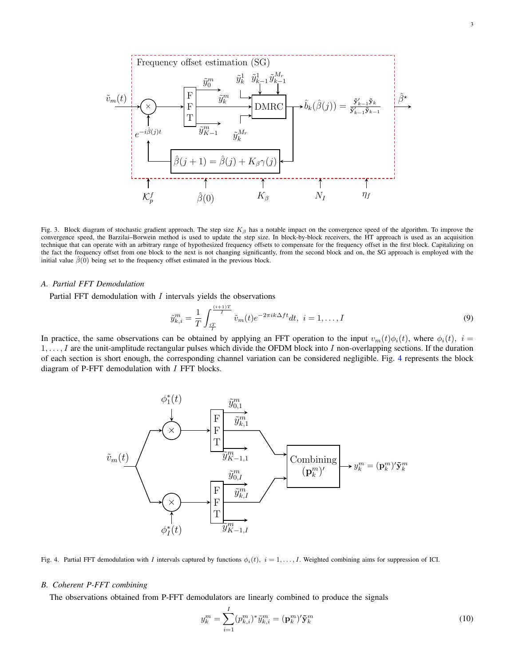

<span id="page-3-2"></span>Fig. 3. Block diagram of stochastic gradient approach. The step size  $K_\beta$  has a notable impact on the convergence speed of the algorithm. To improve the convergence speed, the Barzilai–Borwein method is used to update the step size. In block-by-block receivers, the HT approach is used as an acquisition technique that can operate with an arbitrary range of hypothesized frequency offsets to compensate for the frequency offset in the first block. Capitalizing on the fact the frequency offset from one block to the next is not changing significantly, from the second block and on, the SG approach is employed with the initial value  $\hat{\beta}(0)$  being set to the frequency offset estimated in the previous block.

### <span id="page-3-0"></span>*A. Partial FFT Demodulation*

Partial FFT demodulation with  $I$  intervals yields the observations

$$
\tilde{y}_{k,i}^m = \frac{1}{T} \int_{\frac{iT}{T}}^{\frac{(i+1)T}{T}} \tilde{v}_m(t) e^{-2\pi ik\Delta ft} dt, \ i = 1, \dots, I
$$
\n(9)

In practice, the same observations can be obtained by applying an FFT operation to the input  $v_m(t)\phi_i(t)$ , where  $\phi_i(t)$ ,  $i =$  $1, \ldots, I$  are the unit-amplitude rectangular pulses which divide the OFDM block into I non-overlapping sections. If the duration of each section is short enough, the corresponding channel variation can be considered negligible. Fig. [4](#page-3-3) represents the block diagram of P-FFT demodulation with  $I$  FFT blocks.



<span id="page-3-3"></span>Fig. 4. Partial FFT demodulation with I intervals captured by functions  $\phi_i(t)$ ,  $i = 1, \ldots, I$ . Weighted combining aims for suppression of ICI.

## <span id="page-3-1"></span>*B. Coherent P-FFT combining*

The observations obtained from P-FFT demodulators are linearly combined to produce the signals

$$
y_k^m = \sum_{i=1}^I (p_{k,i}^m)^* \tilde{y}_{k,i}^m = (\mathbf{p}_k^m)' \tilde{\mathbf{y}}_k^m
$$
\n(10)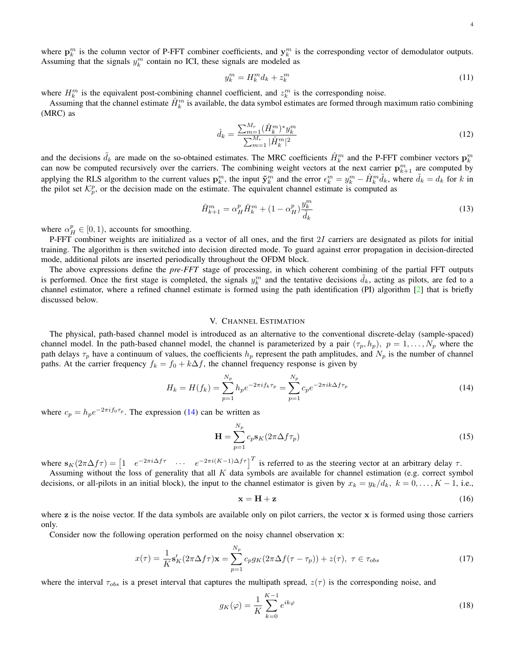$$
y_k^m = H_k^m d_k + z_k^m \tag{11}
$$

where  $H_k^m$  is the equivalent post-combining channel coefficient, and  $z_k^m$  is the corresponding noise.

Assuming that the channel estimate  $\hat{H}_k^m$  is available, the data symbol estimates are formed through maximum ratio combining (MRC) as

$$
\hat{d}_k = \frac{\sum_{m=1}^{M_r} (\hat{H}_k^m)^* y_k^m}{\sum_{m=1}^{M_r} |\hat{H}_k^m|^2}
$$
(12)

and the decisions  $\tilde{d}_k$  are made on the so-obtained estimates. The MRC coefficients  $\hat{H}_k^m$  and the P-FFT combiner vectors  $\mathbf{p}_k^m$ can now be computed recursively over the carriers. The combining weight vectors at the next carrier  $p_{k+1}^m$  are computed by applying the RLS algorithm to the current values  $\mathbf{p}_k^m$ , the input  $\tilde{\mathbf{y}}_k^m$  and the error  $\epsilon_k^m = y_k^m - \hat{H}_k^m \tilde{d}_k$ , where  $\tilde{d}_k = d_k$  for k in the pilot set  $\mathcal{K}_p^p$ , or the decision made on the estimate. The equivalent channel estimate is computed as

$$
\hat{H}_{k+1}^m = \alpha_H^p \hat{H}_k^m + (1 - \alpha_H^p) \frac{y_k^m}{\tilde{d}_k} \tag{13}
$$

where  $\alpha_H^p \in [0, 1)$ , accounts for smoothing.

P-FFT combiner weights are initialized as a vector of all ones, and the first 2I carriers are designated as pilots for initial training. The algorithm is then switched into decision directed mode. To guard against error propagation in decision-directed mode, additional pilots are inserted periodically throughout the OFDM block.

The above expressions define the *pre-FFT* stage of processing, in which coherent combining of the partial FFT outputs is performed. Once the first stage is completed, the signals  $y_k^m$  and the tentative decisions  $\tilde{d}_k$ , acting as pilots, are fed to a channel estimator, where a refined channel estimate is formed using the path identification (PI) algorithm [\[2\]](#page-8-3) that is briefly discussed below.

### V. CHANNEL ESTIMATION

<span id="page-4-0"></span>The physical, path-based channel model is introduced as an alternative to the conventional discrete-delay (sample-spaced) channel model. In the path-based channel model, the channel is parameterized by a pair  $(\tau_p, h_p)$ ,  $p = 1, \ldots, N_p$  where the path delays  $\tau_p$  have a continuum of values, the coefficients  $h_p$  represent the path amplitudes, and  $N_p$  is the number of channel paths. At the carrier frequency  $f_k = f_0 + k\Delta f$ , the channel frequency response is given by

$$
H_k = H(f_k) = \sum_{p=1}^{N_p} h_p e^{-2\pi i f_k \tau_p} = \sum_{p=1}^{N_p} c_p e^{-2\pi i k \Delta f \tau_p}
$$
(14)

where  $c_p = h_p e^{-2\pi i f_0 \tau_p}$ . The expression [\(14\)](#page-4-1) can be written as

<span id="page-4-1"></span>
$$
\mathbf{H} = \sum_{p=1}^{N_p} c_p \mathbf{s}_K (2\pi \Delta f \tau_p)
$$
 (15)

where  $\mathbf{s}_{K}(2\pi\Delta f\tau) = \begin{bmatrix} 1 & e^{-2\pi i\Delta f\tau} & \cdots & e^{-2\pi i(K-1)\Delta f\tau} \end{bmatrix}^T$  is referred to as the steering vector at an arbitrary delay  $\tau$ .

Assuming without the loss of generality that all  $K$  data symbols are available for channel estimation (e.g. correct symbol decisions, or all-pilots in an initial block), the input to the channel estimator is given by  $x_k = y_k/d_k$ ,  $k = 0, \ldots, K - 1$ , i.e.,

$$
\mathbf{x} = \mathbf{H} + \mathbf{z} \tag{16}
$$

where  $z$  is the noise vector. If the data symbols are available only on pilot carriers, the vector  $x$  is formed using those carriers only.

Consider now the following operation performed on the noisy channel observation x:

$$
x(\tau) = \frac{1}{K} \mathbf{s}'_K (2\pi \Delta f \tau) \mathbf{x} = \sum_{p=1}^{N_p} c_p g_K (2\pi \Delta f (\tau - \tau_p)) + z(\tau), \ \tau \in \tau_{obs}
$$
\n
$$
(17)
$$

where the interval  $\tau_{obs}$  is a preset interval that captures the multipath spread,  $z(\tau)$  is the corresponding noise, and

$$
g_K(\varphi) = \frac{1}{K} \sum_{k=0}^{K-1} e^{ik\varphi} \tag{18}
$$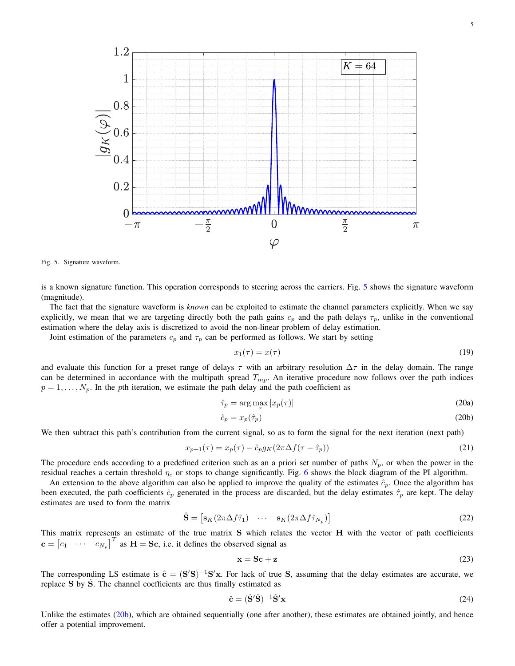

<span id="page-5-0"></span>Fig. 5. Signature waveform.

is a known signature function. This operation corresponds to steering across the carriers. Fig. [5](#page-5-0) shows the signature waveform (magnitude).

The fact that the signature waveform is *known* can be exploited to estimate the channel parameters explicitly. When we say explicitly, we mean that we are targeting directly both the path gains  $c_p$  and the path delays  $\tau_p$ , unlike in the conventional estimation where the delay axis is discretized to avoid the non-linear problem of delay estimation.

Joint estimation of the parameters  $c_p$  and  $\tau_p$  can be performed as follows. We start by setting

<span id="page-5-1"></span>
$$
x_1(\tau) = x(\tau) \tag{19}
$$

and evaluate this function for a preset range of delays  $\tau$  with an arbitrary resolution  $\Delta\tau$  in the delay domain. The range can be determined in accordance with the multipath spread  $T_{mp}$ . An iterative procedure now follows over the path indices  $p = 1, \ldots, N_p$ . In the pth iteration, we estimate the path delay and the path coefficient as

$$
\hat{\tau}_p = \arg \max_{\tau} |x_p(\tau)| \tag{20a}
$$

$$
\hat{c}_p = x_p(\hat{\tau}_p) \tag{20b}
$$

We then subtract this path's contribution from the current signal, so as to form the signal for the next iteration (next path)

$$
x_{p+1}(\tau) = x_p(\tau) - \hat{c}_p g_K(2\pi \Delta f(\tau - \hat{\tau}_p))
$$
\n(21)

The procedure ends according to a predefined criterion such as an a priori set number of paths  $N_p$ , or when the power in the residual reaches a certain threshold  $\eta_c$  or stops to change significantly. Fig. [6](#page-6-1) shows the block diagram of the PI algorithm.

An extension to the above algorithm can also be applied to improve the quality of the estimates  $\hat{c}_p$ . Once the algorithm has been executed, the path coefficients  $\hat{c}_p$  generated in the process are discarded, but the delay estimates  $\hat{\tau}_p$  are kept. The delay estimates are used to form the matrix

$$
\hat{\mathbf{S}} = \begin{bmatrix} \mathbf{s}_K (2\pi \Delta f \hat{\tau}_1) & \cdots & \mathbf{s}_K (2\pi \Delta f \hat{\tau}_{N_p}) \end{bmatrix}
$$
\n(22)

This matrix represents an estimate of the true matrix S which relates the vector H with the vector of path coefficients  $\mathbf{c} = \begin{bmatrix} c_1 & \cdots & c_{N_p} \end{bmatrix}^T$  as  $\mathbf{H} = \mathbf{Sc}$ , i.e. it defines the observed signal as

<span id="page-5-2"></span>
$$
x = Sc + z \tag{23}
$$

The corresponding LS estimate is  $\hat{\mathbf{c}} = (\mathbf{S}'\mathbf{S})^{-1}\mathbf{S}'\mathbf{x}$ . For lack of true S, assuming that the delay estimates are accurate, we replace S by S. The channel coefficients are thus finally estimated as

$$
\hat{\mathbf{c}} = (\hat{\mathbf{S}}'\hat{\mathbf{S}})^{-1}\hat{\mathbf{S}}'\mathbf{x}
$$
 (24)

Unlike the estimates  $(20b)$ , which are obtained sequentially (one after another), these estimates are obtained jointly, and hence offer a potential improvement.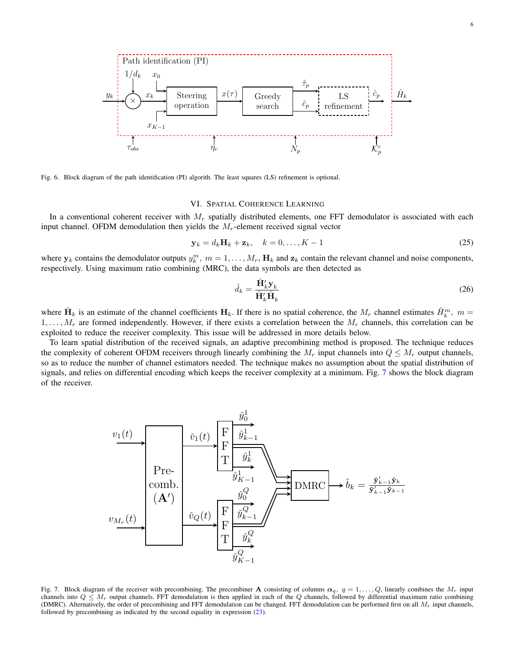

<span id="page-6-1"></span>Fig. 6. Block diagram of the path identification (PI) algorith. The least squares (LS) refinement is optional.

# VI. SPATIAL COHERENCE LEARNING

<span id="page-6-0"></span>In a conventional coherent receiver with  $M_r$  spatially distributed elements, one FFT demodulator is associated with each input channel. OFDM demodulation then yields the  $M_r$ -element received signal vector

$$
\mathbf{y}_k = d_k \mathbf{H}_k + \mathbf{z}_k, \quad k = 0, \dots, K - 1
$$
\n<sup>(25)</sup>

where  $y_k$  contains the demodulator outputs  $y_k^m$ ,  $m = 1, \ldots, M_r$ ,  $H_k$  and  $z_k$  contain the relevant channel and noise components, respectively. Using maximum ratio combining (MRC), the data symbols are then detected as

$$
\hat{d}_k = \frac{\hat{\mathbf{H}}'_k \mathbf{y}_k}{\hat{\mathbf{H}}'_k \hat{\mathbf{H}}_k} \tag{26}
$$

where  $\hat{H}_k$  is an estimate of the channel coefficients  $H_k$ . If there is no spatial coherence, the  $M_r$  channel estimates  $\hat{H}_k^m$ ,  $m =$  $1, \ldots, M_r$  are formed independently. However, if there exists a correlation between the  $M_r$  channels, this correlation can be exploited to reduce the receiver complexity. This issue will be addressed in more details below.

To learn spatial distribution of the received signals, an adaptive precombining method is proposed. The technique reduces the complexity of coherent OFDM receivers through linearly combining the  $M_r$  input channels into  $Q \leq M_r$  output channels, so as to reduce the number of channel estimators needed. The technique makes no assumption about the spatial distribution of signals, and relies on differential encoding which keeps the receiver complexity at a minimum. Fig. [7](#page-6-2) shows the block diagram of the receiver.



<span id="page-6-2"></span>Fig. 7. Block diagram of the receiver with precombining. The precombiner **A** consisting of columns  $\alpha_q$ ,  $q = 1, \ldots, Q$ , linearly combines the  $M_r$  input channels into  $Q \leq M_r$  output channels. FFT demodulation is then applied in each of the Q channels, followed by differential maximum ratio combining (DMRC). Alternatively, the order of precombining and FFT demodulation can be changed. FFT demodulation can be performed first on all  $M_r$  input channels, followed by precombining as indicated by the second equality in expression [\(23\)](#page-5-2).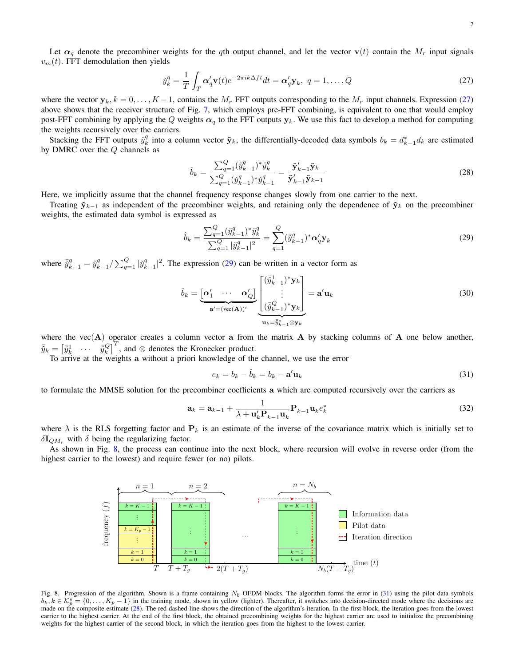Let  $\alpha_q$  denote the precombiner weights for the qth output channel, and let the vector  $\mathbf{v}(t)$  contain the  $M_r$  input signals  $v_m(t)$ . FFT demodulation then yields

$$
\tilde{y}_k^q = \frac{1}{T} \int_T \alpha'_q \mathbf{v}(t) e^{-2\pi i k \Delta f t} dt = \alpha'_q \mathbf{y}_k, \ q = 1, \dots, Q
$$
\n(27)

where the vector  $y_k$ ,  $k = 0, \ldots, K-1$ , contains the  $M_r$  FFT outputs corresponding to the  $M_r$  input channels. Expression [\(27\)](#page-7-0) above shows that the receiver structure of Fig. [7,](#page-6-2) which employs pre-FFT combining, is equivalent to one that would employ post-FFT combining by applying the Q weights  $\alpha_q$  to the FFT outputs  $y_k$ . We use this fact to develop a method for computing the weights recursively over the carriers.

Stacking the FFT outputs  $\tilde{y}_k^q$  into a column vector  $\tilde{\mathbf{y}}_k$ , the differentially-decoded data symbols  $b_k = d_{k-1}^* d_k$  are estimated by DMRC over the Q channels as

<span id="page-7-4"></span><span id="page-7-0"></span>
$$
\hat{b}_k = \frac{\sum_{q=1}^Q (\check{y}_{k-1}^q)^* \check{y}_k^q}{\sum_{q=1}^Q (\check{y}_{k-1}^q)^* \check{y}_{k-1}^q} = \frac{\check{\mathbf{y}}_{k-1}^{\prime} \check{\mathbf{y}}_k}{\check{\mathbf{y}}_{k-1}^{\prime} \check{\mathbf{y}}_{k-1}^q}
$$
\n(28)

Here, we implicitly assume that the channel frequency response changes slowly from one carrier to the next.

Treating  $\mathbf{\tilde{y}}_{k-1}$  as independent of the precombiner weights, and retaining only the dependence of  $\mathbf{\tilde{y}}_k$  on the precombiner weights, the estimated data symbol is expressed as

<span id="page-7-1"></span>
$$
\hat{b}_k = \frac{\sum_{q=1}^Q (\check{y}_{k-1}^q)^* \check{y}_k^q}{\sum_{q=1}^Q |\check{y}_{k-1}^q|^2} = \sum_{q=1}^Q (\check{y}_{k-1}^q)^* \alpha'_q \mathbf{y}_k
$$
\n(29)

where  $\bar{y}_{k-1}^q = \tilde{y}_{k-1}^q / \sum_{q=1}^Q |\tilde{y}_{k-1}^q|^2$ . The expression [\(29\)](#page-7-1) can be written in a vector form as

$$
\hat{b}_k = \underbrace{\begin{bmatrix} \alpha'_1 & \cdots & \alpha'_Q \end{bmatrix}}_{\mathbf{a}' = (\text{vec}(\mathbf{A}))'} \underbrace{\begin{bmatrix} (\bar{y}_{k-1}^1)^* \mathbf{y}_k \\ \vdots \\ (\bar{y}_{k-1}^Q)^* \mathbf{y}_k \end{bmatrix}}_{\mathbf{u}_k = \bar{y}_{k-1}^* \otimes \mathbf{y}_k} = \mathbf{a}' \mathbf{u}_k
$$
\n(30)

where the vec $(A)$  operator creates a column vector a from the matrix  $A$  by stacking columns of  $A$  one below another,  $\bar{y}_k = \begin{bmatrix} \bar{y}_k^1 & \cdots & \bar{y}_k^G \end{bmatrix}^T$ , and ⊗ denotes the Kronecker product.

To arrive at the weights a without a priori knowledge of the channel, we use the error

<span id="page-7-3"></span>
$$
e_k = b_k - \hat{b}_k = b_k - \mathbf{a}' \mathbf{u}_k
$$
\n(31)

to formulate the MMSE solution for the precombiner coefficients a which are computed recursively over the carriers as

$$
\mathbf{a}_{k} = \mathbf{a}_{k-1} + \frac{1}{\lambda + \mathbf{u}_{k}' \mathbf{P}_{k-1} \mathbf{u}_{k}} \mathbf{P}_{k-1} \mathbf{u}_{k} e_{k}^{*}
$$
(32)

where  $\lambda$  is the RLS forgetting factor and  $P_k$  is an estimate of the inverse of the covariance matrix which is initially set to  $\delta I_{QM_r}$  with  $\delta$  being the regularizing factor.

As shown in Fig. [8,](#page-7-2) the process can continue into the next block, where recursion will evolve in reverse order (from the highest carrier to the lowest) and require fewer (or no) pilots.



<span id="page-7-2"></span>Fig. 8. Progression of the algorithm. Shown is a frame containing  $N_b$  OFDM blocks. The algorithm forms the error in [\(31\)](#page-7-3) using the pilot data symbols  $b_k, k \in \mathcal{K}_p^s = \{0, \ldots, K_p - 1\}$  in the training mode, shown in yellow (lighter). Thereafter, it switches into decision-directed mode where the decisions are made on the composite estimate [\(28\)](#page-7-4). The red dashed line shows the direction of the algorithm's iteration. In the first block, the iteration goes from the lowest carrier to the highest carrier. At the end of the first block, the obtained precombining weights for the highest carrier are used to initialize the precombining weights for the highest carrier of the second block, in which the iteration goes from the highest to the lowest carrier.